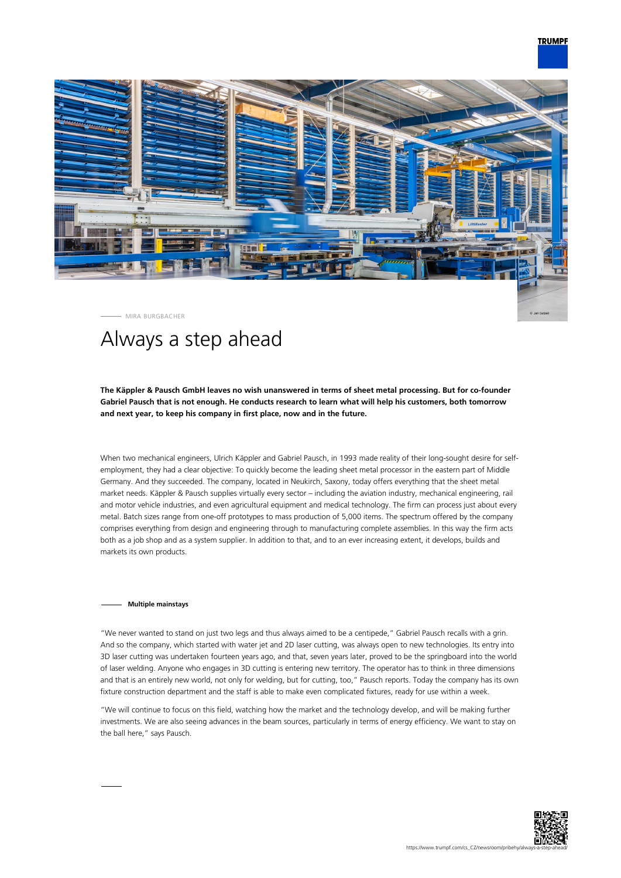

MIRA BURGBACHER

# Always a step ahead

# **The Käppler & Pausch GmbH leaves no wish unanswered in terms of sheet metal processing. But for co-founder Gabriel Pausch that is not enough. He conducts research to learn what will help his customers, both tomorrow and next year, to keep his company in first place, now and in the future.**

When two mechanical engineers, Ulrich Käppler and Gabriel Pausch, in 1993 made reality of their long-sought desire for selfemployment, they had a clear objective: To quickly become the leading sheet metal processor in the eastern part of Middle Germany. And they succeeded. The company, located in Neukirch, Saxony, today offers everything that the sheet metal market needs. Käppler & Pausch supplies virtually every sector – including the aviation industry, mechanical engineering, rail and motor vehicle industries, and even agricultural equipment and medical technology. The firm can process just about every metal. Batch sizes range from one-off prototypes to mass production of 5,000 items. The spectrum offered by the company comprises everything from design and engineering through to manufacturing complete assemblies. In this way the firm acts both as a job shop and as a system supplier. In addition to that, and to an ever increasing extent, it develops, builds and markets its own products.

## **Multiple mainstays**

"We never wanted to stand on just two legs and thus always aimed to be a centipede," Gabriel Pausch recalls with a grin. And so the company, which started with water jet and 2D laser cutting, was always open to new technologies. Its entry into 3D laser cutting was undertaken fourteen years ago, and that, seven years later, proved to be the springboard into the world of laser welding. Anyone who engages in 3D cutting is entering new territory. The operator has to think in three dimensions and that is an entirely new world, not only for welding, but for cutting, too," Pausch reports. Today the company has its own fixture construction department and the staff is able to make even complicated fixtures, ready for use within a week.

"We will continue to focus on this field, watching how the market and the technology develop, and will be making further investments. We are also seeing advances in the beam sources, particularly in terms of energy efficiency. We want to stay on the ball here," says Pausch.

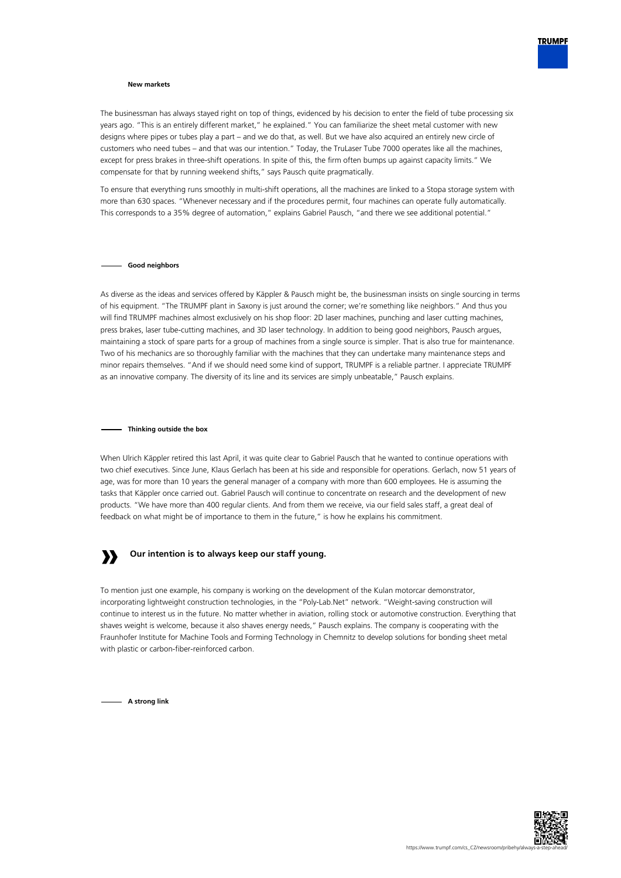

## **New markets**

The businessman has always stayed right on top of things, evidenced by his decision to enter the field of tube processing six years ago. "This is an entirely different market," he explained." You can familiarize the sheet metal customer with new designs where pipes or tubes play a part – and we do that, as well. But we have also acquired an entirely new circle of customers who need tubes – and that was our intention." Today, the TruLaser Tube 7000 operates like all the machines, except for press brakes in three-shift operations. In spite of this, the firm often bumps up against capacity limits." We compensate for that by running weekend shifts," says Pausch quite pragmatically.

To ensure that everything runs smoothly in multi-shift operations, all the machines are linked to a Stopa storage system with more than 630 spaces. "Whenever necessary and if the procedures permit, four machines can operate fully automatically. This corresponds to a 35% degree of automation," explains Gabriel Pausch, "and there we see additional potential."

## **Good neighbors**

As diverse as the ideas and services offered by Käppler & Pausch might be, the businessman insists on single sourcing in terms of his equipment. "The TRUMPF plant in Saxony is just around the corner; we're something like neighbors." And thus you will find TRUMPF machines almost exclusively on his shop floor: 2D laser machines, punching and laser cutting machines, press brakes, laser tube-cutting machines, and 3D laser technology. In addition to being good neighbors, Pausch argues, maintaining a stock of spare parts for a group of machines from a single source is simpler. That is also true for maintenance. Two of his mechanics are so thoroughly familiar with the machines that they can undertake many maintenance steps and minor repairs themselves. "And if we should need some kind of support, TRUMPF is a reliable partner. I appreciate TRUMPF as an innovative company. The diversity of its line and its services are simply unbeatable," Pausch explains.

### **Thinking outside the box**

When Ulrich Käppler retired this last April, it was quite clear to Gabriel Pausch that he wanted to continue operations with two chief executives. Since June, Klaus Gerlach has been at his side and responsible for operations. Gerlach, now 51 years of age, was for more than 10 years the general manager of a company with more than 600 employees. He is assuming the tasks that Käppler once carried out. Gabriel Pausch will continue to concentrate on research and the development of new products. "We have more than 400 regular clients. And from them we receive, via our field sales staff, a great deal of feedback on what might be of importance to them in the future," is how he explains his commitment.

#### **» Our intention is to always keep our staff young.**

To mention just one example, his company is working on the development of the Kulan motorcar demonstrator, incorporating lightweight construction technologies, in the "Poly-Lab.Net" network. "Weight-saving construction will continue to interest us in the future. No matter whether in aviation, rolling stock or automotive construction. Everything that shaves weight is welcome, because it also shaves energy needs," Pausch explains. The company is cooperating with the Fraunhofer Institute for Machine Tools and Forming Technology in Chemnitz to develop solutions for bonding sheet metal with plastic or carbon-fiber-reinforced carbon.

**A strong link**

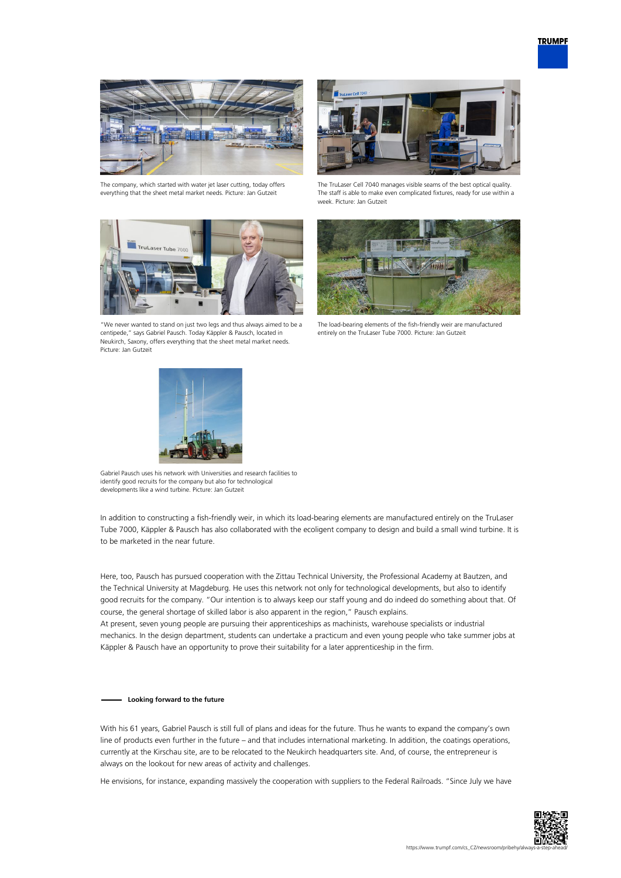

The company, which started with water jet laser cutting, today offers everything that the sheet metal market needs. Picture: Jan Gutzeit



"We never wanted to stand on just two legs and thus always aimed to be a centipede," says Gabriel Pausch. Today Käppler & Pausch, located in Neukirch, Saxony, offers everything that the sheet metal market needs. Picture: Jan Gutzeit



The TruLaser Cell 7040 manages visible seams of the best optical quality. The staff is able to make even complicated fixtures, ready for use within a week. Picture: Jan Gutzeit



The load-bearing elements of the fish-friendly weir are manufactured entirely on the TruLaser Tube 7000. Picture: Jan Gutzeit



Gabriel Pausch uses his network with Universities and research facilities to identify good recruits for the company but also for technological developments like a wind turbine. Picture: Jan Gutzeit

In addition to constructing a fish-friendly weir, in which its load-bearing elements are manufactured entirely on the TruLaser Tube 7000, Käppler & Pausch has also collaborated with the ecoligent company to design and build a small wind turbine. It is to be marketed in the near future.

Here, too, Pausch has pursued cooperation with the Zittau Technical University, the Professional Academy at Bautzen, and the Technical University at Magdeburg. He uses this network not only for technological developments, but also to identify good recruits for the company. "Our intention is to always keep our staff young and do indeed do something about that. Of course, the general shortage of skilled labor is also apparent in the region," Pausch explains.

At present, seven young people are pursuing their apprenticeships as machinists, warehouse specialists or industrial mechanics. In the design department, students can undertake a practicum and even young people who take summer jobs at Käppler & Pausch have an opportunity to prove their suitability for a later apprenticeship in the firm.

## **Looking forward to the future**

With his 61 years, Gabriel Pausch is still full of plans and ideas for the future. Thus he wants to expand the company's own line of products even further in the future – and that includes international marketing. In addition, the coatings operations, currently at the Kirschau site, are to be relocated to the Neukirch headquarters site. And, of course, the entrepreneur is always on the lookout for new areas of activity and challenges.

He envisions, for instance, expanding massively the cooperation with suppliers to the Federal Railroads. "Since July we have